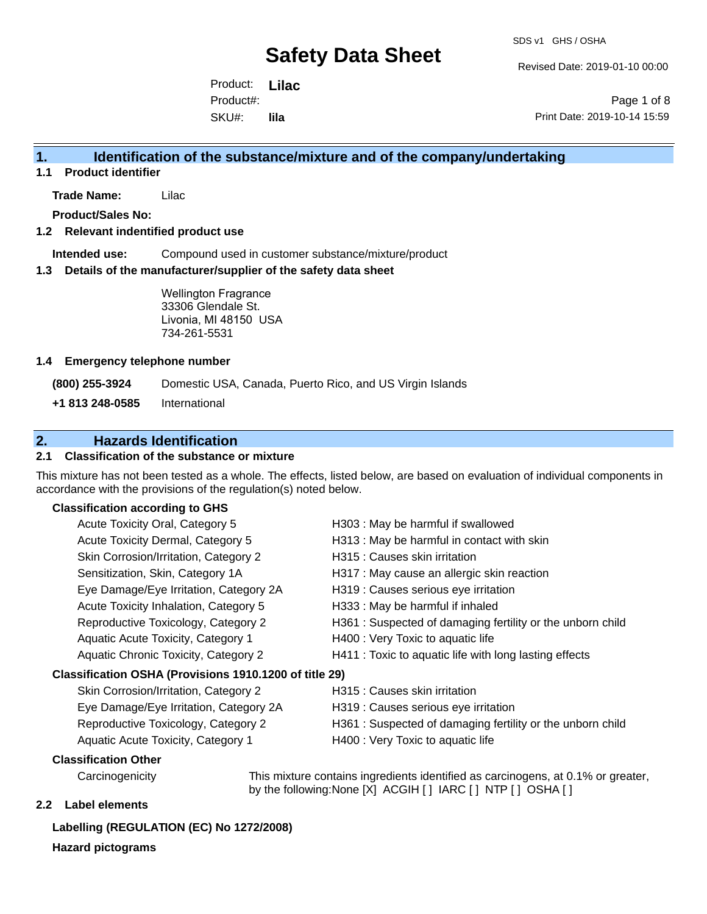Revised Date: 2019-01-10 00:00

Product: **Lilac**  SKU#: Product#: **lila**

Page 1 of 8 Print Date: 2019-10-14 15:59

### **1. Identification of the substance/mixture and of the company/undertaking**

**1.1 Product identifier**

**Trade Name:** Lilac

**Product/Sales No:**

#### **1.2 Relevant indentified product use**

**Intended use:** Compound used in customer substance/mixture/product

#### **1.3 Details of the manufacturer/supplier of the safety data sheet**

Wellington Fragrance 33306 Glendale St. Livonia, MI 48150 USA 734-261-5531

#### **1.4 Emergency telephone number**

**(800) 255-3924** Domestic USA, Canada, Puerto Rico, and US Virgin Islands

**+1 813 248-0585** International

### **2. Hazards Identification**

#### **2.1 Classification of the substance or mixture**

This mixture has not been tested as a whole. The effects, listed below, are based on evaluation of individual components in accordance with the provisions of the regulation(s) noted below.

#### **Classification according to GHS**

| Acute Toxicity Oral, Category 5                        | H303 : May be harmful if swallowed                        |
|--------------------------------------------------------|-----------------------------------------------------------|
| Acute Toxicity Dermal, Category 5                      | H313 : May be harmful in contact with skin                |
| Skin Corrosion/Irritation, Category 2                  | H315 : Causes skin irritation                             |
| Sensitization, Skin, Category 1A                       | H317 : May cause an allergic skin reaction                |
| Eye Damage/Eye Irritation, Category 2A                 | H319 : Causes serious eye irritation                      |
| Acute Toxicity Inhalation, Category 5                  | H333: May be harmful if inhaled                           |
| Reproductive Toxicology, Category 2                    | H361: Suspected of damaging fertility or the unborn child |
| Aquatic Acute Toxicity, Category 1                     | H400 : Very Toxic to aquatic life                         |
| Aquatic Chronic Toxicity, Category 2                   | H411 : Toxic to aquatic life with long lasting effects    |
| Classification OSHA (Provisions 1910.1200 of title 29) |                                                           |
| Skin Corrosion/Irritation, Category 2                  | H315 : Causes skin irritation                             |
| Eye Damage/Eye Irritation, Category 2A                 | H319 : Causes serious eye irritation                      |
|                                                        |                                                           |

- Reproductive Toxicology, Category 2 H361 : Suspected of damaging fertility or the unborn child
- 
- Aquatic Acute Toxicity, Category 1 H400 : Very Toxic to aquatic life

#### **Classification Other**

Carcinogenicity This mixture contains ingredients identified as carcinogens, at 0.1% or greater, by the following:None [X] ACGIH [ ] IARC [ ] NTP [ ] OSHA [ ]

#### **2.2 Label elements**

#### **Labelling (REGULATION (EC) No 1272/2008)**

**Hazard pictograms**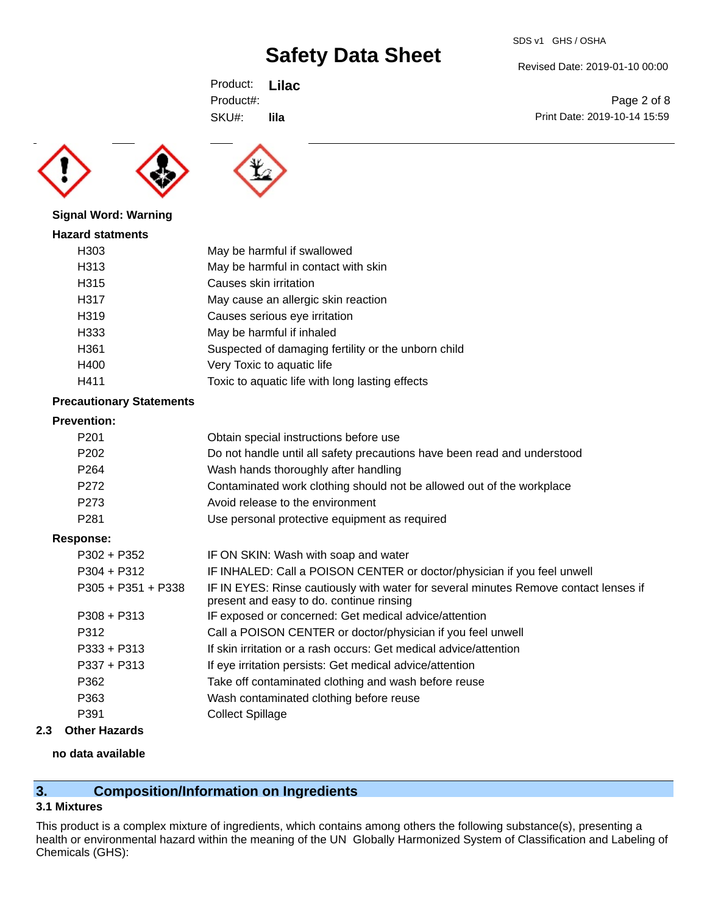Revised Date: 2019-01-10 00:00

Product: **Lilac**  SKU#: Product#: **lila**





#### **Signal Word: Warning**

| <b>Hazard statments</b> |                                                     |
|-------------------------|-----------------------------------------------------|
| H303                    | May be harmful if swallowed                         |
| H313                    | May be harmful in contact with skin                 |
| H315                    | Causes skin irritation                              |
| H317                    | May cause an allergic skin reaction                 |
| H <sub>319</sub>        | Causes serious eye irritation                       |
| H333                    | May be harmful if inhaled                           |
| H361                    | Suspected of damaging fertility or the unborn child |
| H400                    | Very Toxic to aquatic life                          |
| H411                    | Toxic to aquatic life with long lasting effects     |

#### **Precautionary Statements**

#### **Prevention:**

| P <sub>201</sub>     | Obtain special instructions before use                                                                                           |
|----------------------|----------------------------------------------------------------------------------------------------------------------------------|
| P <sub>202</sub>     | Do not handle until all safety precautions have been read and understood                                                         |
| P <sub>264</sub>     | Wash hands thoroughly after handling                                                                                             |
| P <sub>272</sub>     | Contaminated work clothing should not be allowed out of the workplace                                                            |
| P273                 | Avoid release to the environment                                                                                                 |
| P <sub>281</sub>     | Use personal protective equipment as required                                                                                    |
| <b>Response:</b>     |                                                                                                                                  |
| $P302 + P352$        | IF ON SKIN: Wash with soap and water                                                                                             |
| $P304 + P312$        | IF INHALED: Call a POISON CENTER or doctor/physician if you feel unwell                                                          |
| $P305 + P351 + P338$ | IF IN EYES: Rinse cautiously with water for several minutes Remove contact lenses if<br>present and easy to do. continue rinsing |
| $P308 + P313$        | IF exposed or concerned: Get medical advice/attention                                                                            |
| P312                 | Call a POISON CENTER or doctor/physician if you feel unwell                                                                      |
| $P333 + P313$        | If skin irritation or a rash occurs: Get medical advice/attention                                                                |
| $P337 + P313$        | If eye irritation persists: Get medical advice/attention                                                                         |
| P362                 | Take off contaminated clothing and wash before reuse                                                                             |
| P363                 | Wash contaminated clothing before reuse                                                                                          |
| P391                 | <b>Collect Spillage</b>                                                                                                          |
|                      |                                                                                                                                  |

## **2.3 Other Hazards**

### **no data available**

## **3. Composition/Information on Ingredients**

#### **3.1 Mixtures**

This product is a complex mixture of ingredients, which contains among others the following substance(s), presenting a health or environmental hazard within the meaning of the UN Globally Harmonized System of Classification and Labeling of Chemicals (GHS):

Page 2 of 8 Print Date: 2019-10-14 15:59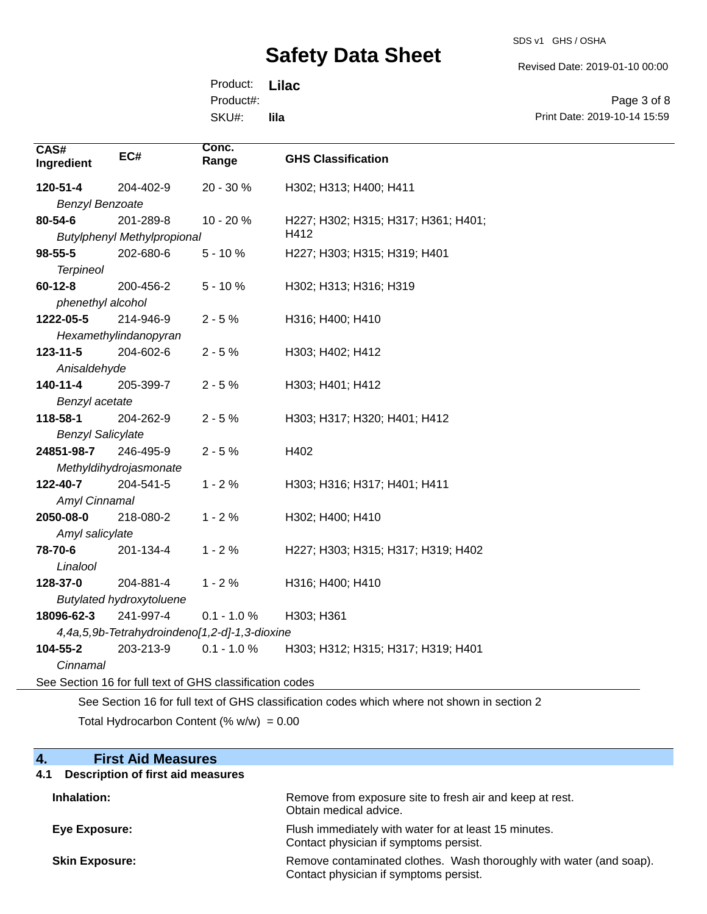SDS v1 GHS / OSHA

Revised Date: 2019-01-10 00:00

Product: **Lilac**  SKU#: Product#: **lila**

Page 3 of 8 Print Date: 2019-10-14 15:59

| CAS#<br>Ingredient       | EC#                                                      | Conc.<br>Range | <b>GHS Classification</b>           |  |  |
|--------------------------|----------------------------------------------------------|----------------|-------------------------------------|--|--|
| 120-51-4                 | 204-402-9                                                | 20 - 30 %      | H302; H313; H400; H411              |  |  |
| <b>Benzyl Benzoate</b>   |                                                          |                |                                     |  |  |
| 80-54-6                  | 201-289-8                                                | 10 - 20 %      | H227; H302; H315; H317; H361; H401; |  |  |
|                          | <b>Butylphenyl Methylpropional</b>                       |                | H412                                |  |  |
| 98-55-5                  | 202-680-6                                                | $5 - 10%$      | H227; H303; H315; H319; H401        |  |  |
| <b>Terpineol</b>         |                                                          |                |                                     |  |  |
| $60 - 12 - 8$            | 200-456-2                                                | $5 - 10%$      | H302; H313; H316; H319              |  |  |
| phenethyl alcohol        |                                                          |                |                                     |  |  |
| 1222-05-5                | 214-946-9                                                | $2 - 5%$       | H316; H400; H410                    |  |  |
|                          | Hexamethylindanopyran                                    |                |                                     |  |  |
| 123-11-5                 | 204-602-6                                                | $2 - 5%$       | H303; H402; H412                    |  |  |
| Anisaldehyde             |                                                          |                |                                     |  |  |
| 140-11-4                 | 205-399-7                                                | $2 - 5%$       | H303; H401; H412                    |  |  |
| Benzyl acetate           |                                                          |                |                                     |  |  |
| 118-58-1                 | 204-262-9                                                | $2 - 5%$       | H303; H317; H320; H401; H412        |  |  |
| <b>Benzyl Salicylate</b> |                                                          |                |                                     |  |  |
| 24851-98-7               | 246-495-9                                                | $2 - 5%$       | H402                                |  |  |
|                          | Methyldihydrojasmonate                                   |                |                                     |  |  |
| 122-40-7                 | 204-541-5                                                | $1 - 2%$       | H303; H316; H317; H401; H411        |  |  |
| Amyl Cinnamal            |                                                          |                |                                     |  |  |
| 2050-08-0                | 218-080-2                                                | $1 - 2%$       | H302; H400; H410                    |  |  |
| Amyl salicylate          |                                                          |                |                                     |  |  |
| 78-70-6                  | 201-134-4                                                | $1 - 2%$       | H227; H303; H315; H317; H319; H402  |  |  |
| Linalool                 |                                                          |                |                                     |  |  |
| 128-37-0                 | 204-881-4                                                | $1 - 2%$       | H316; H400; H410                    |  |  |
|                          | <b>Butylated hydroxytoluene</b>                          |                |                                     |  |  |
| 18096-62-3               | 241-997-4                                                | $0.1 - 1.0 %$  | H303; H361                          |  |  |
|                          | 4,4a,5,9b-Tetrahydroindeno[1,2-d]-1,3-dioxine            |                |                                     |  |  |
| 104-55-2                 | 203-213-9                                                | $0.1 - 1.0 %$  | H303; H312; H315; H317; H319; H401  |  |  |
| Cinnamal                 |                                                          |                |                                     |  |  |
|                          | See Section 16 for full text of GHS classification codes |                |                                     |  |  |
|                          |                                                          |                |                                     |  |  |

See Section 16 for full text of GHS classification codes which where not shown in section 2

Total Hydrocarbon Content  $(\% w/w) = 0.00$ 

| <b>First Aid Measures</b><br>4.                 |                                                                                                               |
|-------------------------------------------------|---------------------------------------------------------------------------------------------------------------|
| <b>Description of first aid measures</b><br>4.1 |                                                                                                               |
| Inhalation:                                     | Remove from exposure site to fresh air and keep at rest.<br>Obtain medical advice.                            |
| Eye Exposure:                                   | Flush immediately with water for at least 15 minutes.<br>Contact physician if symptoms persist.               |
| <b>Skin Exposure:</b>                           | Remove contaminated clothes. Wash thoroughly with water (and soap).<br>Contact physician if symptoms persist. |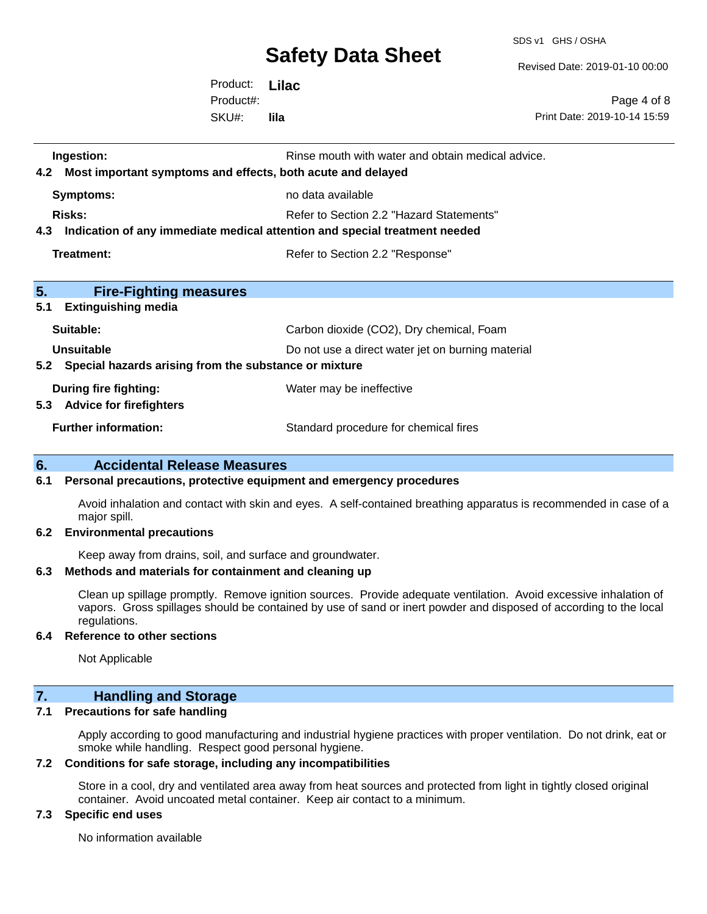SDS v1 GHS / OSHA

Revised Date: 2019-01-10 00:00

Product: **Lilac**  SKU#: Product#: **lila**

Page 4 of 8 Print Date: 2019-10-14 15:59

| 4.2 | Ingestion:<br>Most important symptoms and effects, both acute and delayed  | Rinse mouth with water and obtain medical advice. |  |  |
|-----|----------------------------------------------------------------------------|---------------------------------------------------|--|--|
|     | <b>Symptoms:</b>                                                           | no data available                                 |  |  |
|     | Risks:                                                                     | Refer to Section 2.2 "Hazard Statements"          |  |  |
| 4.3 | Indication of any immediate medical attention and special treatment needed |                                                   |  |  |
|     | Treatment:                                                                 | Refer to Section 2.2 "Response"                   |  |  |
|     |                                                                            |                                                   |  |  |
| 5.  | <b>Fire-Fighting measures</b>                                              |                                                   |  |  |
| 5.1 | <b>Extinguishing media</b>                                                 |                                                   |  |  |
|     | Suitable:                                                                  | Carbon dioxide (CO2), Dry chemical, Foam          |  |  |
|     | Unsuitable                                                                 | Do not use a direct water jet on burning material |  |  |
|     | 5.2 Special hazards arising from the substance or mixture                  |                                                   |  |  |
|     | During fire fighting:                                                      | Water may be ineffective                          |  |  |
|     | 5.3 Advice for firefighters                                                |                                                   |  |  |
|     | <b>Further information:</b>                                                | Standard procedure for chemical fires             |  |  |
|     |                                                                            |                                                   |  |  |

#### **6. Accidental Release Measures**

#### **6.1 Personal precautions, protective equipment and emergency procedures**

Avoid inhalation and contact with skin and eyes. A self-contained breathing apparatus is recommended in case of a major spill.

#### **6.2 Environmental precautions**

Keep away from drains, soil, and surface and groundwater.

#### **6.3 Methods and materials for containment and cleaning up**

Clean up spillage promptly. Remove ignition sources. Provide adequate ventilation. Avoid excessive inhalation of vapors. Gross spillages should be contained by use of sand or inert powder and disposed of according to the local regulations.

#### **6.4 Reference to other sections**

Not Applicable

## **7. Handling and Storage**

#### **7.1 Precautions for safe handling**

Apply according to good manufacturing and industrial hygiene practices with proper ventilation. Do not drink, eat or smoke while handling. Respect good personal hygiene.

#### **7.2 Conditions for safe storage, including any incompatibilities**

Store in a cool, dry and ventilated area away from heat sources and protected from light in tightly closed original container. Avoid uncoated metal container. Keep air contact to a minimum.

#### **7.3 Specific end uses**

No information available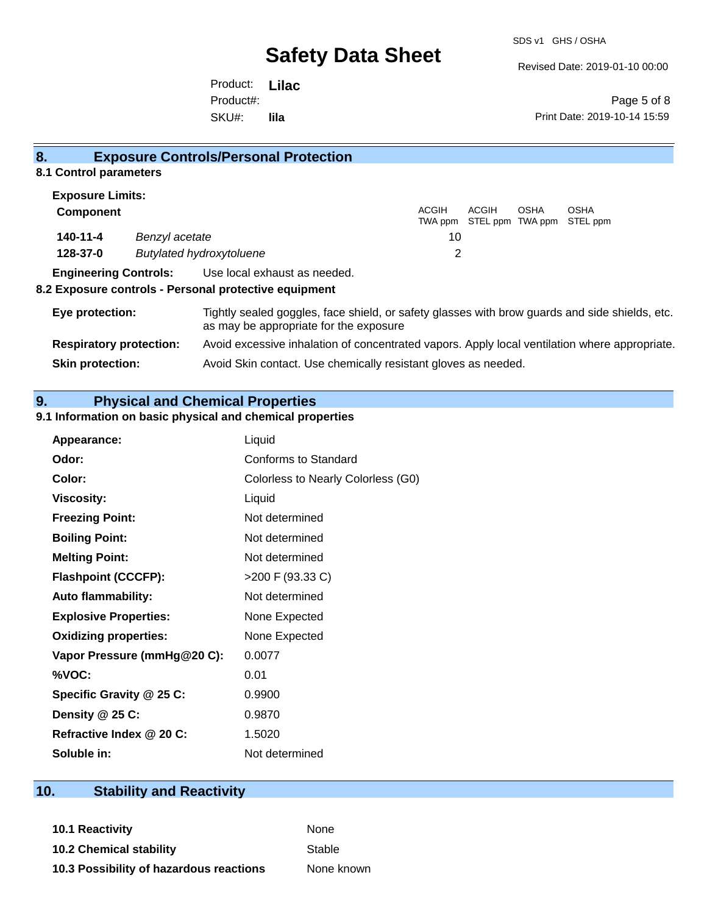Revised Date: 2019-01-10 00:00

Product: **Lilac**  SKU#: Product#: **lila**

Page 5 of 8 Print Date: 2019-10-14 15:59

#### **8. Exposure Controls/Personal Protection 8.1 Control parameters Exposure Limits: Component** ACGIH TWA ppm STEL ppm TWA ppm STEL ppm ACGIH OSHA OSHA **140-11-4** *Benzyl acetate* 10 **128-37-0** *Butylated hydroxytoluene* 2 **Engineering Controls:** Use local exhaust as needed. **8.2 Exposure controls - Personal protective equipment Eye protection:** Tightly sealed goggles, face shield, or safety glasses with brow guards and side shields, etc. as may be appropriate for the exposure **Respiratory protection:** Avoid excessive inhalation of concentrated vapors. Apply local ventilation where appropriate.

**Skin protection:** Avoid Skin contact. Use chemically resistant gloves as needed.

## **9. Physical and Chemical Properties**

#### **9.1 Information on basic physical and chemical properties**

| Appearance:                  | Liquid                             |
|------------------------------|------------------------------------|
| Odor:                        | Conforms to Standard               |
| Color:                       | Colorless to Nearly Colorless (G0) |
| <b>Viscosity:</b>            | Liquid                             |
| <b>Freezing Point:</b>       | Not determined                     |
| <b>Boiling Point:</b>        | Not determined                     |
| <b>Melting Point:</b>        | Not determined                     |
| <b>Flashpoint (CCCFP):</b>   | >200 F (93.33 C)                   |
| <b>Auto flammability:</b>    | Not determined                     |
| <b>Explosive Properties:</b> | None Expected                      |
| <b>Oxidizing properties:</b> | None Expected                      |
| Vapor Pressure (mmHg@20 C):  | 0.0077                             |
| %VOC:                        | 0.01                               |
| Specific Gravity @ 25 C:     | 0.9900                             |
| Density @ 25 C:              | 0.9870                             |
| Refractive Index @ 20 C:     | 1.5020                             |
| Soluble in:                  | Not determined                     |

### **10. Stability and Reactivity**

**10.1 Reactivity** None

**10.2 Chemical stability** Stable **10.3 Possibility of hazardous reactions** None known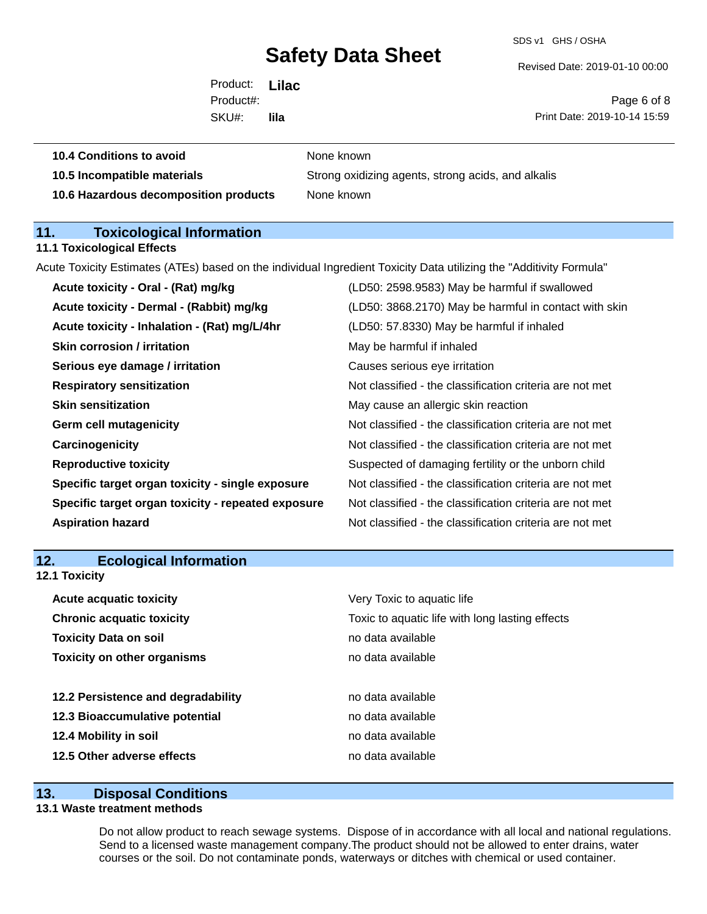SDS v1 GHS / OSHA

Revised Date: 2019-01-10 00:00

Product: **Lilac**  SKU#: Product#: **lila**

Page 6 of 8 Print Date: 2019-10-14 15:59

| 10.4 Conditions to avoid    | None known       |
|-----------------------------|------------------|
| 40 E Incomposible meteriale | $P$ trono ovidi- |

**10.5 Incompatible materials** Strong oxidizing agents, strong acids, and alkalis **10.6 Hazardous decomposition products** None known

## **11. Toxicological Information**

#### **11.1 Toxicological Effects**

Acute Toxicity Estimates (ATEs) based on the individual Ingredient Toxicity Data utilizing the "Additivity Formula"

| Acute toxicity - Oral - (Rat) mg/kg                | (LD50: 2598.9583) May be harmful if swallowed            |
|----------------------------------------------------|----------------------------------------------------------|
| Acute toxicity - Dermal - (Rabbit) mg/kg           | (LD50: 3868.2170) May be harmful in contact with skin    |
| Acute toxicity - Inhalation - (Rat) mg/L/4hr       | (LD50: 57.8330) May be harmful if inhaled                |
| <b>Skin corrosion / irritation</b>                 | May be harmful if inhaled                                |
| Serious eye damage / irritation                    | Causes serious eye irritation                            |
| <b>Respiratory sensitization</b>                   | Not classified - the classification criteria are not met |
| <b>Skin sensitization</b>                          | May cause an allergic skin reaction                      |
| <b>Germ cell mutagenicity</b>                      | Not classified - the classification criteria are not met |
| Carcinogenicity                                    | Not classified - the classification criteria are not met |
| <b>Reproductive toxicity</b>                       | Suspected of damaging fertility or the unborn child      |
| Specific target organ toxicity - single exposure   | Not classified - the classification criteria are not met |
| Specific target organ toxicity - repeated exposure | Not classified - the classification criteria are not met |
| <b>Aspiration hazard</b>                           | Not classified - the classification criteria are not met |
|                                                    |                                                          |

### **12. Ecological Information 12.1 Toxicity**

| <b>Acute acquatic toxicity</b><br><b>Chronic acquatic toxicity</b> | Very Toxic to aquatic life<br>Toxic to aquatic life with long lasting effects |  |
|--------------------------------------------------------------------|-------------------------------------------------------------------------------|--|
| <b>Toxicity Data on soil</b>                                       | no data available                                                             |  |
| <b>Toxicity on other organisms</b>                                 | no data available                                                             |  |
|                                                                    |                                                                               |  |
| 12.2 Persistence and degradability                                 | no data available                                                             |  |
| 12.3 Bioaccumulative potential                                     | no data available                                                             |  |
| 12.4 Mobility in soil                                              | no data available                                                             |  |
| 12.5 Other adverse effects                                         | no data available                                                             |  |

### **13. Disposal Conditions**

#### **13.1 Waste treatment methods**

Do not allow product to reach sewage systems. Dispose of in accordance with all local and national regulations. Send to a licensed waste management company.The product should not be allowed to enter drains, water courses or the soil. Do not contaminate ponds, waterways or ditches with chemical or used container.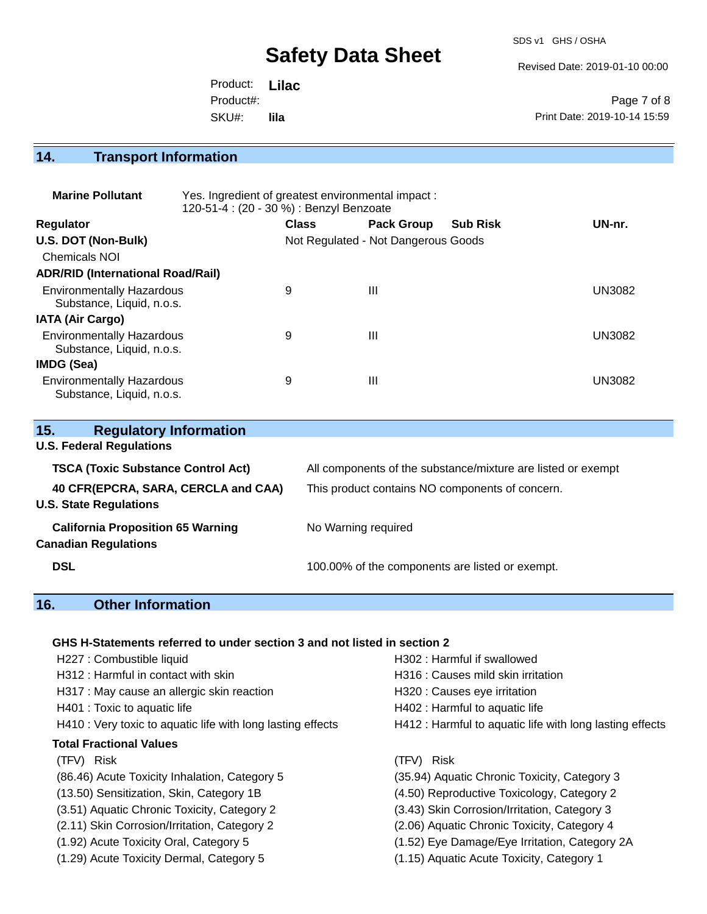SDS v1 GHS / OSHA

Revised Date: 2019-01-10 00:00

| Product: Lilac |      |                              |
|----------------|------|------------------------------|
| Product#:      |      | Page 7 of 8                  |
| SKU#:          | lila | Print Date: 2019-10-14 15:59 |

**14. Transport Information** 

| <b>Marine Pollutant</b>                                       | Yes. Ingredient of greatest environmental impact:<br>120-51-4 : (20 - 30 %) : Benzyl Benzoate |                                     |                   |                 |               |
|---------------------------------------------------------------|-----------------------------------------------------------------------------------------------|-------------------------------------|-------------------|-----------------|---------------|
| <b>Regulator</b>                                              |                                                                                               | <b>Class</b>                        | <b>Pack Group</b> | <b>Sub Risk</b> | UN-nr.        |
| U.S. DOT (Non-Bulk)                                           |                                                                                               | Not Regulated - Not Dangerous Goods |                   |                 |               |
| <b>Chemicals NOI</b>                                          |                                                                                               |                                     |                   |                 |               |
| <b>ADR/RID (International Road/Rail)</b>                      |                                                                                               |                                     |                   |                 |               |
| <b>Environmentally Hazardous</b><br>Substance, Liquid, n.o.s. |                                                                                               | 9                                   | Ш                 |                 | <b>UN3082</b> |
| <b>IATA (Air Cargo)</b>                                       |                                                                                               |                                     |                   |                 |               |
| <b>Environmentally Hazardous</b><br>Substance, Liquid, n.o.s. |                                                                                               | 9                                   | Ш                 |                 | <b>UN3082</b> |
| <b>IMDG (Sea)</b>                                             |                                                                                               |                                     |                   |                 |               |
| <b>Environmentally Hazardous</b><br>Substance, Liquid, n.o.s. |                                                                                               | 9                                   | Ш                 |                 | UN3082        |

| 15.<br><b>Regulatory Information</b>      |                                                              |
|-------------------------------------------|--------------------------------------------------------------|
| <b>U.S. Federal Regulations</b>           |                                                              |
| <b>TSCA (Toxic Substance Control Act)</b> | All components of the substance/mixture are listed or exempt |
| 40 CFR(EPCRA, SARA, CERCLA and CAA)       | This product contains NO components of concern.              |
| <b>U.S. State Regulations</b>             |                                                              |
| <b>California Proposition 65 Warning</b>  | No Warning required                                          |
| <b>Canadian Regulations</b>               |                                                              |
| <b>DSL</b>                                | 100.00% of the components are listed or exempt.              |
|                                           |                                                              |

## **16. Other Information**

### **GHS H-Statements referred to under section 3 and not listed in section 2**

| H227 : Combustible liquid                                   | H302 : Harmful if swallowed                              |
|-------------------------------------------------------------|----------------------------------------------------------|
| H312 : Harmful in contact with skin                         | H316 : Causes mild skin irritation                       |
| H317 : May cause an allergic skin reaction                  | H320 : Causes eye irritation                             |
| H401 : Toxic to aquatic life                                | H402 : Harmful to aquatic life                           |
| H410 : Very toxic to aquatic life with long lasting effects | H412 : Harmful to aquatic life with long lasting effects |
| <b>Total Fractional Values</b>                              |                                                          |
| (TFV) Risk                                                  | (TFV) Risk                                               |
| (86.46) Acute Toxicity Inhalation, Category 5               | (35.94) Aquatic Chronic Toxicity, Category 3             |
| (13.50) Sensitization, Skin, Category 1B                    | (4.50) Reproductive Toxicology, Category 2               |
| (3.51) Aquatic Chronic Toxicity, Category 2                 | (3.43) Skin Corrosion/Irritation, Category 3             |
| (2.11) Skin Corrosion/Irritation, Category 2                | (2.06) Aquatic Chronic Toxicity, Category 4              |
| (1.92) Acute Toxicity Oral, Category 5                      | (1.52) Eye Damage/Eye Irritation, Category 2A            |
| (1.29) Acute Toxicity Dermal, Category 5                    | (1.15) Aquatic Acute Toxicity, Category 1                |
|                                                             |                                                          |